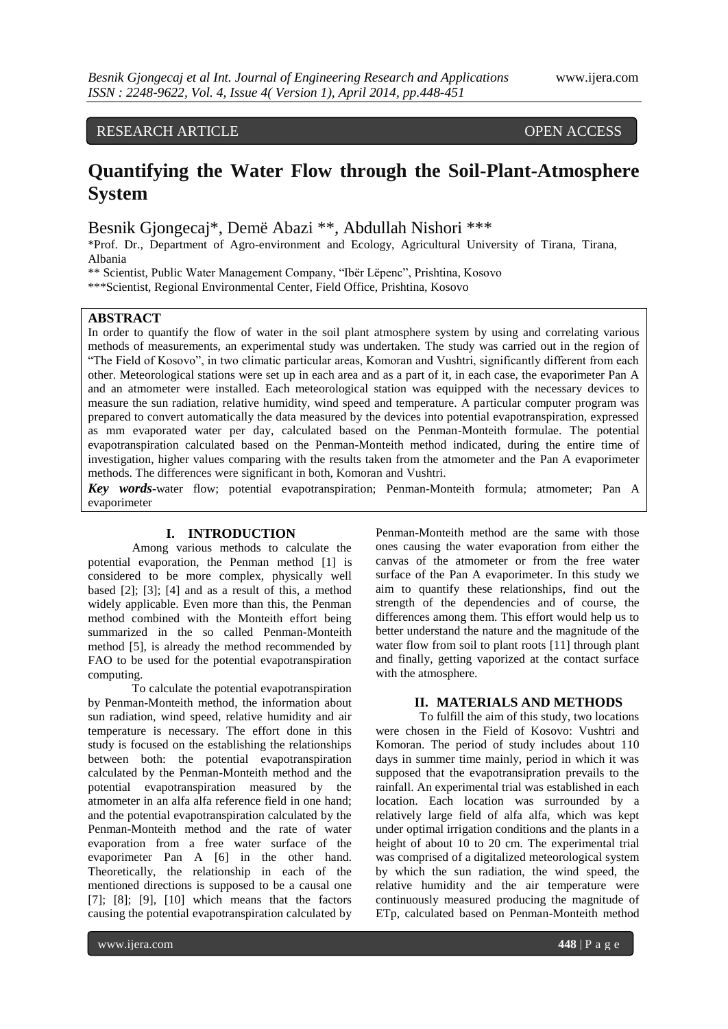# RESEARCH ARTICLE OPEN ACCESS

# **Quantifying the Water Flow through the Soil-Plant-Atmosphere System**

Besnik Gjongecaj\*, Demë Abazi \*\*, Abdullah Nishori \*\*\*

\*Prof. Dr., Department of Agro-environment and Ecology, Agricultural University of Tirana, Tirana, Albania

\*\* Scientist, Public Water Management Company, "Ibër Lëpenc", Prishtina, Kosovo \*\*\*Scientist, Regional Environmental Center, Field Office, Prishtina, Kosovo

### **ABSTRACT**

In order to quantify the flow of water in the soil plant atmosphere system by using and correlating various methods of measurements, an experimental study was undertaken. The study was carried out in the region of "The Field of Kosovo", in two climatic particular areas, Komoran and Vushtri, significantly different from each other. Meteorological stations were set up in each area and as a part of it, in each case, the evaporimeter Pan A and an atmometer were installed. Each meteorological station was equipped with the necessary devices to measure the sun radiation, relative humidity, wind speed and temperature. A particular computer program was prepared to convert automatically the data measured by the devices into potential evapotranspiration, expressed as mm evaporated water per day, calculated based on the Penman-Monteith formulae. The potential evapotranspiration calculated based on the Penman-Monteith method indicated, during the entire time of investigation, higher values comparing with the results taken from the atmometer and the Pan A evaporimeter methods. The differences were significant in both, Komoran and Vushtri.

*Key words***-**water flow; potential evapotranspiration; Penman-Monteith formula; atmometer; Pan A evaporimeter

## **I. INTRODUCTION**

Among various methods to calculate the potential evaporation, the Penman method [1] is considered to be more complex, physically well based [2]; [3]; [4] and as a result of this, a method widely applicable. Even more than this, the Penman method combined with the Monteith effort being summarized in the so called Penman-Monteith method [5], is already the method recommended by FAO to be used for the potential evapotranspiration computing.

To calculate the potential evapotranspiration by Penman-Monteith method, the information about sun radiation, wind speed, relative humidity and air temperature is necessary. The effort done in this study is focused on the establishing the relationships between both: the potential evapotranspiration calculated by the Penman-Monteith method and the potential evapotranspiration measured by the atmometer in an alfa alfa reference field in one hand; and the potential evapotranspiration calculated by the Penman-Monteith method and the rate of water evaporation from a free water surface of the evaporimeter Pan A [6] in the other hand. Theoretically, the relationship in each of the mentioned directions is supposed to be a causal one [7]; [8]; [9], [10] which means that the factors causing the potential evapotranspiration calculated by

Penman-Monteith method are the same with those ones causing the water evaporation from either the canvas of the atmometer or from the free water surface of the Pan A evaporimeter. In this study we aim to quantify these relationships, find out the strength of the dependencies and of course, the differences among them. This effort would help us to better understand the nature and the magnitude of the water flow from soil to plant roots [11] through plant and finally, getting vaporized at the contact surface with the atmosphere.

#### **II. MATERIALS AND METHODS**

To fulfill the aim of this study, two locations were chosen in the Field of Kosovo: Vushtri and Komoran. The period of study includes about 110 days in summer time mainly, period in which it was supposed that the evapotransipration prevails to the rainfall. An experimental trial was established in each location. Each location was surrounded by a relatively large field of alfa alfa, which was kept under optimal irrigation conditions and the plants in a height of about 10 to 20 cm. The experimental trial was comprised of a digitalized meteorological system by which the sun radiation, the wind speed, the relative humidity and the air temperature were continuously measured producing the magnitude of ETp, calculated based on Penman-Monteith method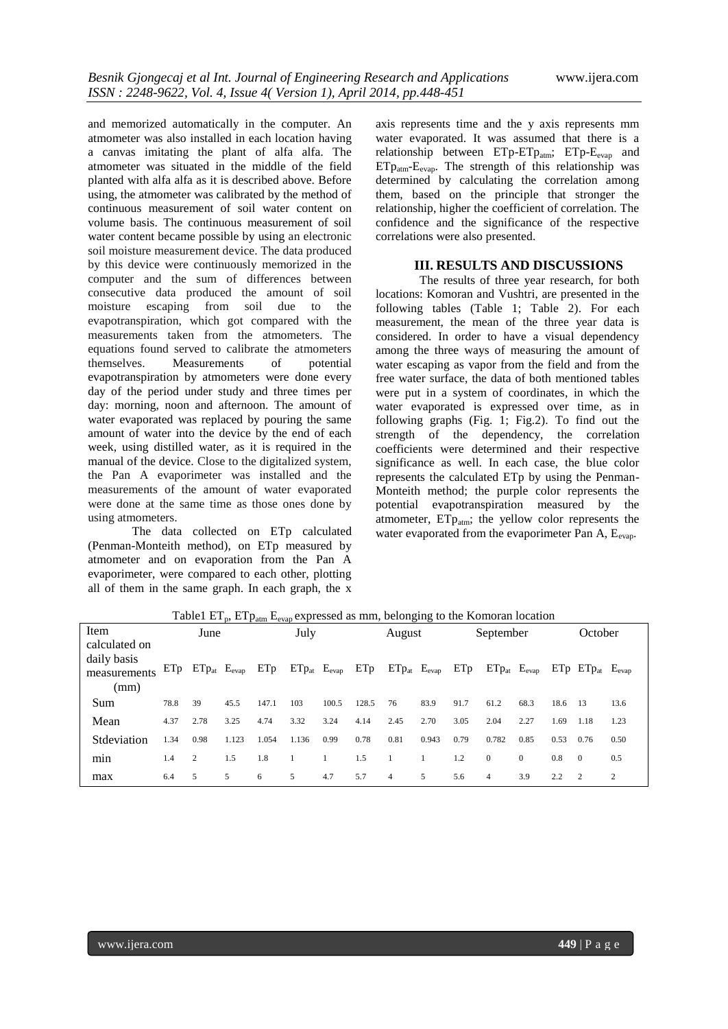and memorized automatically in the computer. An atmometer was also installed in each location having a canvas imitating the plant of alfa alfa. The atmometer was situated in the middle of the field planted with alfa alfa as it is described above. Before using, the atmometer was calibrated by the method of continuous measurement of soil water content on volume basis. The continuous measurement of soil water content became possible by using an electronic soil moisture measurement device. The data produced by this device were continuously memorized in the computer and the sum of differences between consecutive data produced the amount of soil moisture escaping from soil due to the evapotranspiration, which got compared with the measurements taken from the atmometers. The equations found served to calibrate the atmometers themselves. Measurements of potential evapotranspiration by atmometers were done every day of the period under study and three times per day: morning, noon and afternoon. The amount of water evaporated was replaced by pouring the same amount of water into the device by the end of each week, using distilled water, as it is required in the manual of the device. Close to the digitalized system, the Pan A evaporimeter was installed and the measurements of the amount of water evaporated were done at the same time as those ones done by using atmometers.

The data collected on ETp calculated (Penman-Monteith method), on ETp measured by atmometer and on evaporation from the Pan A evaporimeter, were compared to each other, plotting all of them in the same graph. In each graph, the x

axis represents time and the y axis represents mm water evaporated. It was assumed that there is a relationship between  $ETp-ETp_{atm}$ ;  $ETp-E_{evap}$  and  $ETp_{atm}$ - $E_{evap}$ . The strength of this relationship was determined by calculating the correlation among them, based on the principle that stronger the relationship, higher the coefficient of correlation. The confidence and the significance of the respective correlations were also presented.

#### **III. RESULTS AND DISCUSSIONS**

The results of three year research, for both locations: Komoran and Vushtri, are presented in the following tables (Table 1; Table 2). For each measurement, the mean of the three year data is considered. In order to have a visual dependency among the three ways of measuring the amount of water escaping as vapor from the field and from the free water surface, the data of both mentioned tables were put in a system of coordinates, in which the water evaporated is expressed over time, as in following graphs (Fig. 1; Fig.2). To find out the strength of the dependency, the correlation coefficients were determined and their respective significance as well. In each case, the blue color represents the calculated ETp by using the Penman-Monteith method; the purple color represents the potential evapotranspiration measured by the atmometer,  $ETp_{atm}$ ; the yellow color represents the water evaporated from the evaporimeter Pan  $A$ ,  $E_{\text{evan}}$ .

Table1  $ET_p$ ,  $ETp_{atm}$   $E_{evap}$  expressed as mm, belonging to the Komoran location

| Item                                                 |      | June       |            |       | July  |                       |       | August                |       |      | September             |                |      | October                     |      |
|------------------------------------------------------|------|------------|------------|-------|-------|-----------------------|-------|-----------------------|-------|------|-----------------------|----------------|------|-----------------------------|------|
| calculated on<br>daily basis<br>measurements<br>(mm) | ETp  | $ETp_{at}$ | $E_{evap}$ | ETp   |       | $ETp_{at}$ $E_{evap}$ | ETp   | $ETp_{at}$ $E_{evap}$ |       | ETp  | $ETp_{at}$ $E_{evap}$ |                |      | $ETp$ $ETp_{at}$ $E_{evap}$ |      |
| Sum                                                  | 78.8 | 39         | 45.5       | 147.1 | 103   | 100.5                 | 128.5 | 76                    | 83.9  | 91.7 | 61.2                  | 68.3           | 18.6 | - 13                        | 13.6 |
| Mean                                                 | 4.37 | 2.78       | 3.25       | 4.74  | 3.32  | 3.24                  | 4.14  | 2.45                  | 2.70  | 3.05 | 2.04                  | 2.27           | 1.69 | 1.18                        | 1.23 |
| Stdeviation                                          | 1.34 | 0.98       | 1.123      | 1.054 | 1.136 | 0.99                  | 0.78  | 0.81                  | 0.943 | 0.79 | 0.782                 | 0.85           | 0.53 | 0.76                        | 0.50 |
| min                                                  | 1.4  | 2          | 1.5        | 1.8   |       |                       | 1.5   |                       |       | 1.2  | $\mathbf{0}$          | $\overline{0}$ | 0.8  | $\Omega$                    | 0.5  |
| max                                                  | 6.4  | 5          | 5          | 6     | 5     | 4.7                   | 5.7   | $\overline{4}$        | 5     | 5.6  | $\overline{4}$        | 3.9            | 2.2  | $\overline{2}$              | 2    |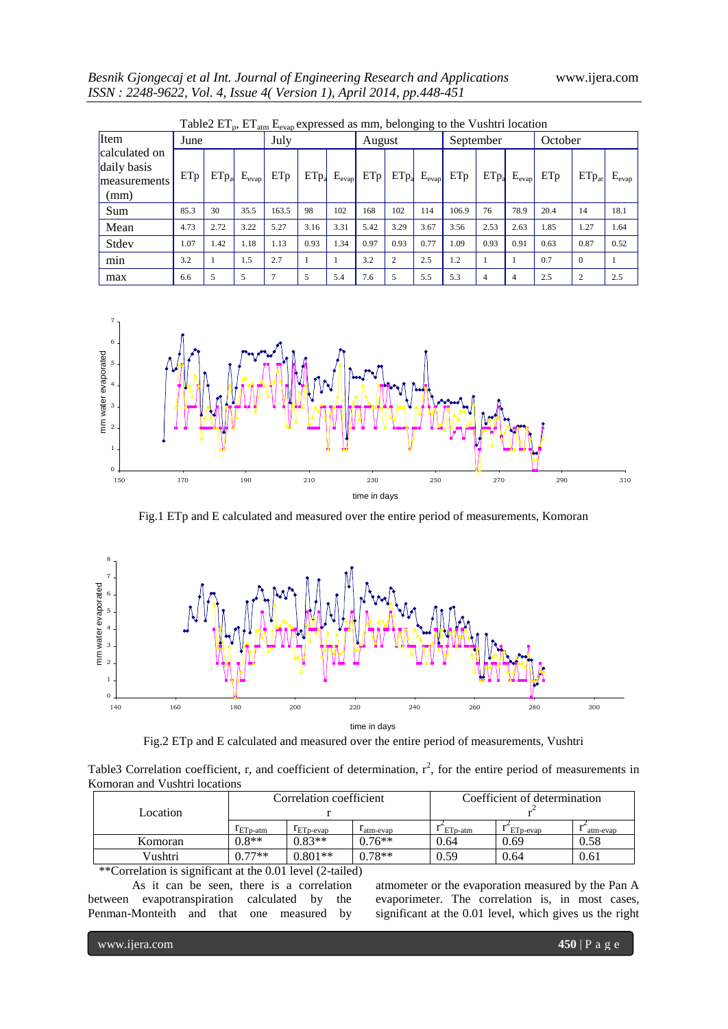|                                                      | <b>Table 2 E I<sub>n</sub>, E I<sub>atm</sub> E<sub>evan</sub> expressed as mm, belonging to the Vushtri location</b> |                  |            |               |                  |            |        |                |            |           |                  |                |         |                |            |
|------------------------------------------------------|-----------------------------------------------------------------------------------------------------------------------|------------------|------------|---------------|------------------|------------|--------|----------------|------------|-----------|------------------|----------------|---------|----------------|------------|
| Item                                                 | June                                                                                                                  |                  |            | July          |                  |            | August |                |            | September |                  |                | October |                |            |
| calculated on<br>daily basis<br>measurements<br>(mm) | ETp                                                                                                                   | ETp <sub>a</sub> | $E_{evap}$ | ETp           | ETp <sub>a</sub> | $E_{evap}$ | ETp    | $ETp_a$        | $E_{evap}$ | ETp       | ETp <sub>a</sub> | $E_{evap}$     | ETp     | $ETp_{at}$     | $E_{evap}$ |
| Sum                                                  | 85.3                                                                                                                  | 30               | 35.5       | 163.5         | 98               | 102        | 168    | 102            | 114        | 106.9     | 76               | 78.9           | 20.4    | 14             | 18.1       |
| Mean                                                 | 4.73                                                                                                                  | 2.72             | 3.22       | 5.27          | 3.16             | 3.31       | 5.42   | 3.29           | 3.67       | 3.56      | 2.53             | 2.63           | 1.85    | 1.27           | 1.64       |
| Stdev                                                | 1.07                                                                                                                  | 1.42             | 1.18       | 1.13          | 0.93             | 1.34       | 0.97   | 0.93           | 0.77       | 1.09      | 0.93             | 0.91           | 0.63    | 0.87           | 0.52       |
| min                                                  | 3.2                                                                                                                   |                  | 1.5        | 2.7           |                  |            | 3.2    | $\overline{c}$ | 2.5        | 1.2       |                  |                | 0.7     | $\Omega$       |            |
| max                                                  | 6.6                                                                                                                   | 5                | 5          | $\mathcal{I}$ | 5                | 5.4        | 7.6    | 5              | 5.5        | 5.3       | $\overline{4}$   | $\overline{4}$ | 2.5     | $\overline{c}$ | 2.5        |

|  |  |  | Table2 $ET_p$ , $ET_{atm}E_{evap}$ expressed as mm, belonging to the Vushtri location |  |  |
|--|--|--|---------------------------------------------------------------------------------------|--|--|
|--|--|--|---------------------------------------------------------------------------------------|--|--|



Fig.1 ETp and E calculated and measured over the entire period of measurements, Komoran



time in days

Fig.2 ETp and E calculated and measured over the entire period of measurements, Vushtri

Table3 Correlation coefficient, r, and coefficient of determination,  $r^2$ , for the entire period of measurements in Komoran and Vushtri locations

|          |               | Correlation coefficient |              | Coefficient of determination |                      |          |  |  |
|----------|---------------|-------------------------|--------------|------------------------------|----------------------|----------|--|--|
| Location |               |                         |              |                              |                      |          |  |  |
|          | $r_{ETp-atm}$ | $T_{ETD-evan}$          | $l$ atm-evap | ETp-atm                      | ET <sub>p-evap</sub> | atm-evap |  |  |
| Komoran  | $0.8**$       | $0.83**$                | $0.76**$     | 0.64                         | 0.69                 | 0.58     |  |  |
| Vushtri  | $0.77**$      | $0.801**$               | $0.78**$     | 0.59                         | 0.64                 | 0.61     |  |  |

\*\*Correlation is significant at the 0.01 level (2-tailed)

As it can be seen, there is a correlation between evapotranspiration calculated by the Penman-Monteith and that one measured by

atmometer or the evaporation measured by the Pan A evaporimeter. The correlation is, in most cases, significant at the 0.01 level, which gives us the right